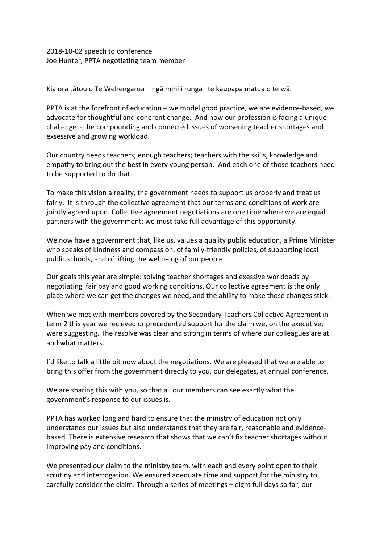## 2018-10-02 speech to conference Joe Hunter, PPTA negotiating team member

Kia ora tātou o Te Wehengarua – ngā mihi i runga i te kaupapa matua o te wā.

PPTA is at the forefront of education – we model good practice, we are evidence-based, we advocate for thoughtful and coherent change. And now our profession is facing a unique challenge - the compounding and connected issues of worsening teacher shortages and exsessive and growing workload.

Our country needs teachers; enough teachers; teachers with the skills, knowledge and empathy to bring out the best in every young person. And each one of those teachers need to be supported to do that.

To make this vision a reality, the government needs to support us properly and treat us fairly. It is through the collective agreement that our terms and conditions of work are jointly agreed upon. Collective agreement negotiations are one time where we are equal partners with the government; we must take full advantage of this opportunity.

We now have a government that, like us, values a quality public education, a Prime Minister who speaks of kindness and compassion, of family-friendly policies, of supporting local public schools, and of lifting the wellbeing of our people.

Our goals this year are simple: solving teacher shortages and exessive workloads by negotiating fair pay and good working conditions. Our collective agreement is the only place where we can get the changes we need, and the ability to make those changes stick.

When we met with members covered by the Secondary Teachers Collective Agreement in term 2 this year we recieved unprecedented support for the claim we, on the executive, were suggesting. The resolve was clear and strong in terms of where our colleagues are at and what matters.

I'd like to talk a little bit now about the negotiations. We are pleased that we are able to bring this offer from the government directly to you, our delegates, at annual conference.

We are sharing this with you, so that all our members can see exactly what the government's response to our issues is.

PPTA has worked long and hard to ensure that the ministry of education not only understands our issues but also understands that they are fair, reasonable and evidencebased. There is extensive research that shows that we can't fix teacher shortages without improving pay and conditions.

We presented our claim to the ministry team, with each and every point open to their scrutiny and interrogation. We ensured adequate time and support for the ministry to carefully consider the claim. Through a series of meetings – eight full days so far, our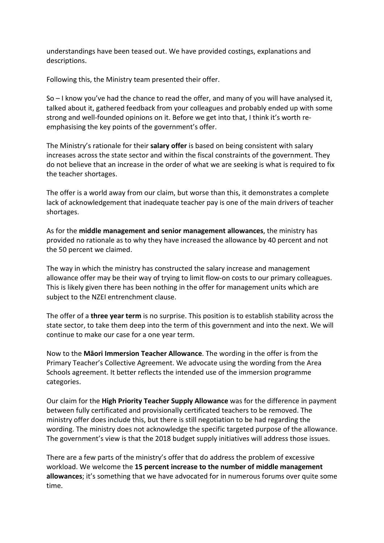understandings have been teased out. We have provided costings, explanations and descriptions.

Following this, the Ministry team presented their offer.

So – I know you've had the chance to read the offer, and many of you will have analysed it, talked about it, gathered feedback from your colleagues and probably ended up with some strong and well-founded opinions on it. Before we get into that, I think it's worth reemphasising the key points of the government's offer.

The Ministry's rationale for their **salary offer** is based on being consistent with salary increases across the state sector and within the fiscal constraints of the government. They do not believe that an increase in the order of what we are seeking is what is required to fix the teacher shortages.

The offer is a world away from our claim, but worse than this, it demonstrates a complete lack of acknowledgement that inadequate teacher pay is one of the main drivers of teacher shortages.

As for the **middle management and senior management allowances**, the ministry has provided no rationale as to why they have increased the allowance by 40 percent and not the 50 percent we claimed.

The way in which the ministry has constructed the salary increase and management allowance offer may be their way of trying to limit flow-on costs to our primary colleagues. This is likely given there has been nothing in the offer for management units which are subject to the NZEI entrenchment clause.

The offer of a **three year term** is no surprise. This position is to establish stability across the state sector, to take them deep into the term of this government and into the next. We will continue to make our case for a one year term.

Now to the **Māori Immersion Teacher Allowance**. The wording in the offer is from the Primary Teacher's Collective Agreement. We advocate using the wording from the Area Schools agreement. It better reflects the intended use of the immersion programme categories.

Our claim for the **High Priority Teacher Supply Allowance** was for the difference in payment between fully certificated and provisionally certificated teachers to be removed. The ministry offer does include this, but there is still negotiation to be had regarding the wording. The ministry does not acknowledge the specific targeted purpose of the allowance. The government's view is that the 2018 budget supply initiatives will address those issues.

There are a few parts of the ministry's offer that do address the problem of excessive workload. We welcome the **15 percent increase to the number of middle management allowances**; it's something that we have advocated for in numerous forums over quite some time.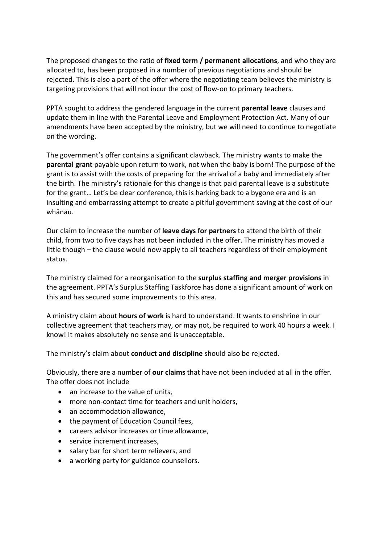The proposed changes to the ratio of **fixed term / permanent allocations**, and who they are allocated to, has been proposed in a number of previous negotiations and should be rejected. This is also a part of the offer where the negotiating team believes the ministry is targeting provisions that will not incur the cost of flow-on to primary teachers.

PPTA sought to address the gendered language in the current **parental leave** clauses and update them in line with the Parental Leave and Employment Protection Act. Many of our amendments have been accepted by the ministry, but we will need to continue to negotiate on the wording.

The government's offer contains a significant clawback. The ministry wants to make the **parental grant** payable upon return to work, not when the baby is born! The purpose of the grant is to assist with the costs of preparing for the arrival of a baby and immediately after the birth. The ministry's rationale for this change is that paid parental leave is a substitute for the grant… Let's be clear conference, this is harking back to a bygone era and is an insulting and embarrassing attempt to create a pitiful government saving at the cost of our whānau.

Our claim to increase the number of **leave days for partners** to attend the birth of their child, from two to five days has not been included in the offer. The ministry has moved a little though – the clause would now apply to all teachers regardless of their employment status.

The ministry claimed for a reorganisation to the **surplus staffing and merger provisions** in the agreement. PPTA's Surplus Staffing Taskforce has done a significant amount of work on this and has secured some improvements to this area.

A ministry claim about **hours of work** is hard to understand. It wants to enshrine in our collective agreement that teachers may, or may not, be required to work 40 hours a week. I know! It makes absolutely no sense and is unacceptable.

The ministry's claim about **conduct and discipline** should also be rejected.

Obviously, there are a number of **our claims** that have not been included at all in the offer. The offer does not include

- an increase to the value of units,
- more non-contact time for teachers and unit holders,
- an accommodation allowance,
- the payment of Education Council fees,
- careers advisor increases or time allowance,
- service increment increases,
- salary bar for short term relievers, and
- a working party for guidance counsellors.